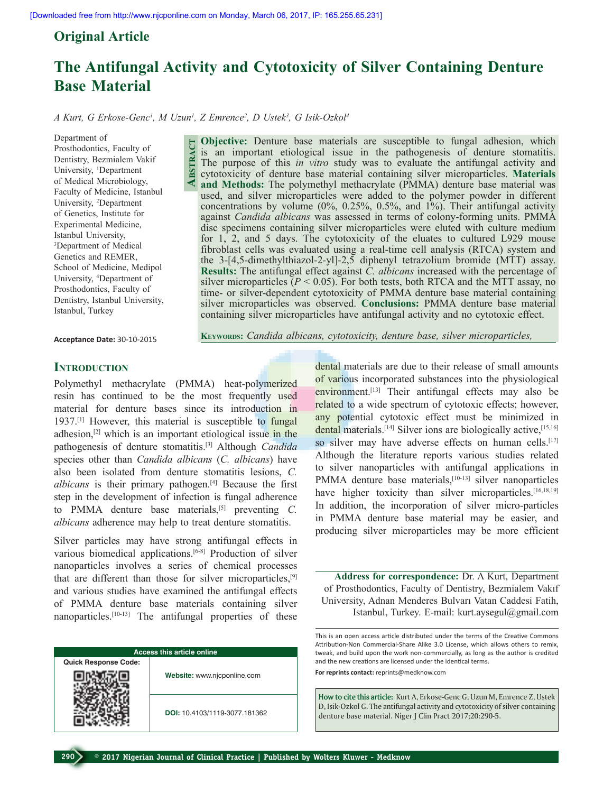## **Original Article**

# **The Antifungal Activity and Cytotoxicity of Silver Containing Denture Base Material**

*A Kurt, G Erkose-Genc1 , M Uzun1 , Z Emrence2 , D Ustek3 , G Isik-Ozkol4*

**Abstract**

Department of Prosthodontics, Faculty of Dentistry, Bezmialem Vakif University, <sup>1</sup>Department of Medical Microbiology, Faculty of Medicine, Istanbul University, 2 Department of Genetics, Institute for Experimental Medicine, Istanbul University, 3 Department of Medical Genetics and REMER, School of Medicine, Medipol University, 4 Department of Prosthodontics, Faculty of Dentistry, Istanbul University, Istanbul, Turkey

**Objective:** Denture base materials are susceptible to fungal adhesion, which is an important etiological issue in the pathogenesis of denture stomatitis. The purpose of this *in vitro* study was to evaluate the antifungal activity and cytotoxicity of denture base material containing silver microparticles. **Materials and Methods:** The polymethyl methacrylate (PMMA) denture base material was used, and silver microparticles were added to the polymer powder in different concentrations by volume (0%, 0.25%, 0.5%, and 1%). Their antifungal activity against *Candida albicans* was assessed in terms of colony-forming units. PMMA disc specimens containing silver microparticles were eluted with culture medium for 1, 2, and 5 days. The cytotoxicity of the eluates to cultured L929 mouse fibroblast cells was evaluated using a real-time cell analysis (RTCA) system and the 3-[4,5-dimethylthiazol-2-yl]-2,5 diphenyl tetrazolium bromide (MTT) assay. **Results:** The antifungal effect against *C. albicans* increased with the percentage of silver microparticles ( $P < 0.05$ ). For both tests, both RTCA and the MTT assay, no time- or silver-dependent cytotoxicity of PMMA denture base material containing silver microparticles was observed. **Conclusions:** PMMA denture base material containing silver microparticles have antifungal activity and no cytotoxic effect.

**Acceptance Date:** 30-10-2015

KEYWORDS: Candida albicans, cytotoxicity, denture base, silver microparticles,

#### **INTRODUCTION**

Polymethyl methacrylate (PMMA) heat-polymerized resin has continued to be the most frequently used material for denture bases since its introduction in 1937.[1] However, this material is susceptible to fungal adhesion,[2] which is an important etiological issue in the pathogenesis of denture stomatitis.[3] Although *Candida* species other than *Candida albicans* (*C. albicans*) have also been isolated from denture stomatitis lesions, *C. albicans* is their primary pathogen.[4] Because the first step in the development of infection is fungal adherence to PMMA denture base materials,[5] preventing *C. albicans* adherence may help to treat denture stomatitis.

Silver particles may have strong antifungal effects in various biomedical applications.[6-8] Production of silver nanoparticles involves a series of chemical processes that are different than those for silver microparticles,[9] and various studies have examined the antifungal effects of PMMA denture base materials containing silver nanoparticles.<sup>[10-13]</sup> The antifungal properties of these

| <b>Access this article online</b> |                               |  |  |
|-----------------------------------|-------------------------------|--|--|
| <b>Quick Response Code:</b>       |                               |  |  |
|                                   | Website: www.njcponline.com   |  |  |
|                                   | DOI: 10.4103/1119-3077.181362 |  |  |

dental materials are due to their release of small amounts of various incorporated substances into the physiological environment.<sup>[13]</sup> Their antifungal effects may also be related to a wide spectrum of cytotoxic effects; however, any potential cytotoxic effect must be minimized in dental materials.<sup>[14]</sup> Silver ions are biologically active,<sup>[15,16]</sup> so silver may have adverse effects on human cells.<sup>[17]</sup> Although the literature reports various studies related to silver nanoparticles with antifungal applications in PMMA denture base materials,<sup>[10-13]</sup> silver nanoparticles have higher toxicity than silver microparticles.<sup>[16,18,19]</sup> In addition, the incorporation of silver micro-particles in PMMA denture base material may be easier, and producing silver microparticles may be more efficient

**Address for correspondence:** Dr. A Kurt, Department of Prosthodontics, Faculty of Dentistry, Bezmialem Vakıf University, Adnan Menderes Bulvarı Vatan Caddesi Fatih, Istanbul, Turkey. E-mail: kurt.aysegul@gmail.com

This is an open access article distributed under the terms of the Creative Commons Attribution-Non Commercial-Share Alike 3.0 License, which allows others to remix, tweak, and build upon the work non-commercially, as long as the author is credited and the new creations are licensed under the identical terms. **For reprints contact:** reprints@medknow.com

**How to cite this article:** Kurt A, Erkose-Genc G, Uzun M, Emrence Z, Ustek D, Isik-Ozkol G. The antifungal activity and cytotoxicity of silver containing denture base material. Niger J Clin Pract 2017;20:290-5.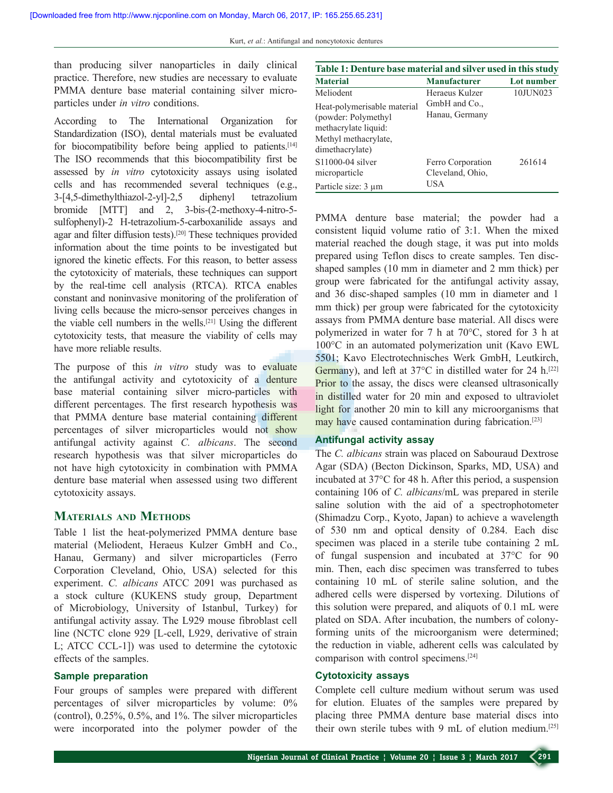than producing silver nanoparticles in daily clinical practice. Therefore, new studies are necessary to evaluate PMMA denture base material containing silver microparticles under *in vitro* conditions.

According to The International Organization for Standardization (ISO), dental materials must be evaluated for biocompatibility before being applied to patients.<sup>[14]</sup> The ISO recommends that this biocompatibility first be assessed by *in vitro* cytotoxicity assays using isolated cells and has recommended several techniques (e.g., 3-[4,5-dimethylthiazol-2-yl]-2,5 diphenyl tetrazolium bromide [MTT] and 2, 3-bis-(2-methoxy-4-nitro-5 sulfophenyl)-2 H-tetrazolium-5-carboxanilide assays and agar and filter diffusion tests).[20] These techniques provided information about the time points to be investigated but ignored the kinetic effects. For this reason, to better assess the cytotoxicity of materials, these techniques can support by the real-time cell analysis (RTCA). RTCA enables constant and noninvasive monitoring of the proliferation of living cells because the micro-sensor perceives changes in the viable cell numbers in the wells.[21] Using the different cytotoxicity tests, that measure the viability of cells may have more reliable results.

The purpose of this *in vitro* study was to evaluate the antifungal activity and cytotoxicity of a denture base material containing silver micro-particles with different percentages. The first research hypothesis was that PMMA denture base material containing different percentages of silver microparticles would not show antifungal activity against *C. albicans*. The second research hypothesis was that silver microparticles do not have high cytotoxicity in combination with PMMA denture base material when assessed using two different cytotoxicity assays.

## **Materials and Methods**

Table 1 list the heat-polymerized PMMA denture base material (Meliodent, Heraeus Kulzer GmbH and Co., Hanau, Germany) and silver microparticles (Ferro Corporation Cleveland, Ohio, USA) selected for this experiment. *C. albicans* ATCC 2091 was purchased as a stock culture (KUKENS study group, Department of Microbiology, University of Istanbul, Turkey) for antifungal activity assay. The L929 mouse fibroblast cell line (NCTC clone 929 [L-cell, L929, derivative of strain L; ATCC CCL-1]) was used to determine the cytotoxic effects of the samples.

#### **Sample preparation**

Four groups of samples were prepared with different percentages of silver microparticles by volume: 0% (control), 0.25%, 0.5%, and 1%. The silver microparticles were incorporated into the polymer powder of the

| Table 1: Denture base material and silver used in this study |                     |            |  |  |
|--------------------------------------------------------------|---------------------|------------|--|--|
| <b>Material</b>                                              | <b>Manufacturer</b> | Lot number |  |  |
| Meliodent                                                    | Heraeus Kulzer      | 10JUN023   |  |  |
| Heat-polymerisable material                                  | GmbH and Co.,       |            |  |  |
| (powder: Polymethyl)                                         | Hanau, Germany      |            |  |  |
| methacrylate liquid:                                         |                     |            |  |  |
| Methyl methacrylate,                                         |                     |            |  |  |
| dimethacrylate)                                              |                     |            |  |  |
| $S11000-04$ silver                                           | Ferro Corporation   | 261614     |  |  |
| microparticle                                                | Cleveland, Ohio,    |            |  |  |
| Particle size: 3 µm                                          | USA                 |            |  |  |

PMMA denture base material; the powder had a consistent liquid volume ratio of 3:1. When the mixed material reached the dough stage, it was put into molds prepared using Teflon discs to create samples. Ten discshaped samples (10 mm in diameter and 2 mm thick) per group were fabricated for the antifungal activity assay, and 36 disc-shaped samples (10 mm in diameter and 1 mm thick) per group were fabricated for the cytotoxicity assays from PMMA denture base material. All discs were polymerized in water for 7 h at 70°C, stored for 3 h at 100°C in an automated polymerization unit (Kavo EWL 5501; Kavo Electrotechnisches Werk GmbH, Leutkirch, Germany), and left at  $37^{\circ}$ C in distilled water for 24 h.<sup>[22]</sup> Prior to the assay, the discs were cleansed ultrasonically in distilled water for 20 min and exposed to ultraviolet light for another 20 min to kill any microorganisms that may have caused contamination during fabrication.<sup>[23]</sup>

#### **Antifungal activity assay**

The *C. albicans* strain was placed on Sabouraud Dextrose Agar (SDA) (Becton Dickinson, Sparks, MD, USA) and incubated at 37°C for 48 h. After this period, a suspension containing 106 of *C. albicans*/mL was prepared in sterile saline solution with the aid of a spectrophotometer (Shimadzu Corp., Kyoto, Japan) to achieve a wavelength of 530 nm and optical density of 0.284. Each disc specimen was placed in a sterile tube containing 2 mL of fungal suspension and incubated at 37°C for 90 min. Then, each disc specimen was transferred to tubes containing 10 mL of sterile saline solution, and the adhered cells were dispersed by vortexing. Dilutions of this solution were prepared, and aliquots of 0.1 mL were plated on SDA. After incubation, the numbers of colonyforming units of the microorganism were determined; the reduction in viable, adherent cells was calculated by comparison with control specimens.[24]

#### **Cytotoxicity assays**

Complete cell culture medium without serum was used for elution. Eluates of the samples were prepared by placing three PMMA denture base material discs into their own sterile tubes with 9 mL of elution medium.[25]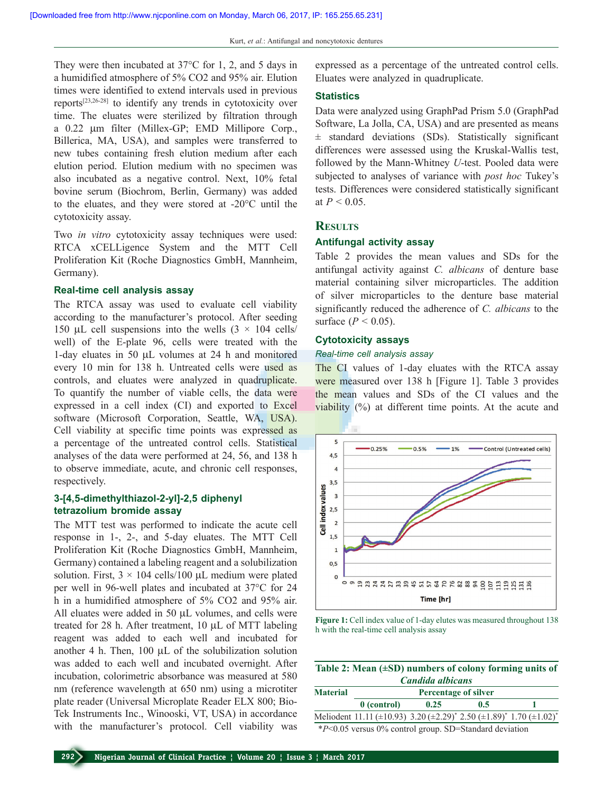They were then incubated at 37°C for 1, 2, and 5 days in a humidified atmosphere of 5% CO2 and 95% air. Elution times were identified to extend intervals used in previous reports[23,26-28] to identify any trends in cytotoxicity over time. The eluates were sterilized by filtration through a 0.22 µm filter (Millex-GP; EMD Millipore Corp., Billerica, MA, USA), and samples were transferred to new tubes containing fresh elution medium after each elution period. Elution medium with no specimen was also incubated as a negative control. Next, 10% fetal bovine serum (Biochrom, Berlin, Germany) was added to the eluates, and they were stored at -20°C until the cytotoxicity assay.

Two *in vitro* cytotoxicity assay techniques were used: RTCA xCELLigence System and the MTT Cell Proliferation Kit (Roche Diagnostics GmbH, Mannheim, Germany).

#### **Real-time cell analysis assay**

The RTCA assay was used to evaluate cell viability according to the manufacturer's protocol. After seeding 150 µL cell suspensions into the wells  $(3 \times 104 \text{ cells})$ well) of the E-plate 96, cells were treated with the 1-day eluates in 50 µL volumes at 24 h and monitored every 10 min for 138 h. Untreated cells were used as controls, and eluates were analyzed in quadruplicate. To quantify the number of viable cells, the data were expressed in a cell index (CI) and exported to Excel software (Microsoft Corporation, Seattle, WA, USA). Cell viability at specific time points was expressed as a percentage of the untreated control cells. Statistical analyses of the data were performed at 24, 56, and 138 h to observe immediate, acute, and chronic cell responses, respectively.

#### **3-[4,5-dimethylthiazol-2-yl]-2,5 diphenyl tetrazolium bromide assay**

The MTT test was performed to indicate the acute cell response in 1-, 2-, and 5-day eluates. The MTT Cell Proliferation Kit (Roche Diagnostics GmbH, Mannheim, Germany) contained a labeling reagent and a solubilization solution. First,  $3 \times 104$  cells/100 µL medium were plated per well in 96-well plates and incubated at 37°C for 24 h in a humidified atmosphere of 5% CO2 and 95% air. All eluates were added in 50  $\mu$ L volumes, and cells were treated for 28 h. After treatment, 10 µL of MTT labeling reagent was added to each well and incubated for another 4 h. Then, 100 µL of the solubilization solution was added to each well and incubated overnight. After incubation, colorimetric absorbance was measured at 580 nm (reference wavelength at 650 nm) using a microtiter plate reader (Universal Microplate Reader ELX 800; Bio-Tek Instruments Inc., Winooski, VT, USA) in accordance with the manufacturer's protocol. Cell viability was

expressed as a percentage of the untreated control cells. Eluates were analyzed in quadruplicate.

#### **Statistics**

Data were analyzed using GraphPad Prism 5.0 (GraphPad Software, La Jolla, CA, USA) and are presented as means  $\pm$  standard deviations (SDs). Statistically significant differences were assessed using the Kruskal-Wallis test, followed by the Mann-Whitney *U*-test. Pooled data were subjected to analyses of variance with *post hoc* Tukey's tests. Differences were considered statistically significant at  $P < 0.05$ .

## **Results**

#### **Antifungal activity assay**

Table 2 provides the mean values and SDs for the antifungal activity against *C. albicans* of denture base material containing silver microparticles. The addition of silver microparticles to the denture base material significantly reduced the adherence of *C. albicans* to the surface  $(P < 0.05)$ .

#### **Cytotoxicity assays**

#### *Real-time cell analysis assay*

The CI values of 1-day eluates with the RTCA assay were measured over 138 h [Figure 1]. Table 3 provides the mean values and SDs of the CI values and the viability (%) at different time points. At the acute and



**Figure 1:** Cell index value of 1-day elutes was measured throughout 138 h with the real-time cell analysis assay

| Table 2: Mean $(\pm SD)$ numbers of colony forming units of |  |
|-------------------------------------------------------------|--|
| Candida albicans                                            |  |

| <b>Material</b> | <b>Percentage of silver</b>                                                                                                    |      |     |  |  |  |
|-----------------|--------------------------------------------------------------------------------------------------------------------------------|------|-----|--|--|--|
|                 | $0$ (control)                                                                                                                  | 0.25 | 0.5 |  |  |  |
|                 | Meliodent 11.11 ( $\pm$ 10.93) 3.20 ( $\pm$ 2.29) <sup>*</sup> 2.50 ( $\pm$ 1.89) <sup>*</sup> 1.70 ( $\pm$ 1.02) <sup>*</sup> |      |     |  |  |  |
|                 | *P<0.05 versus 0% control group. SD=Standard deviation                                                                         |      |     |  |  |  |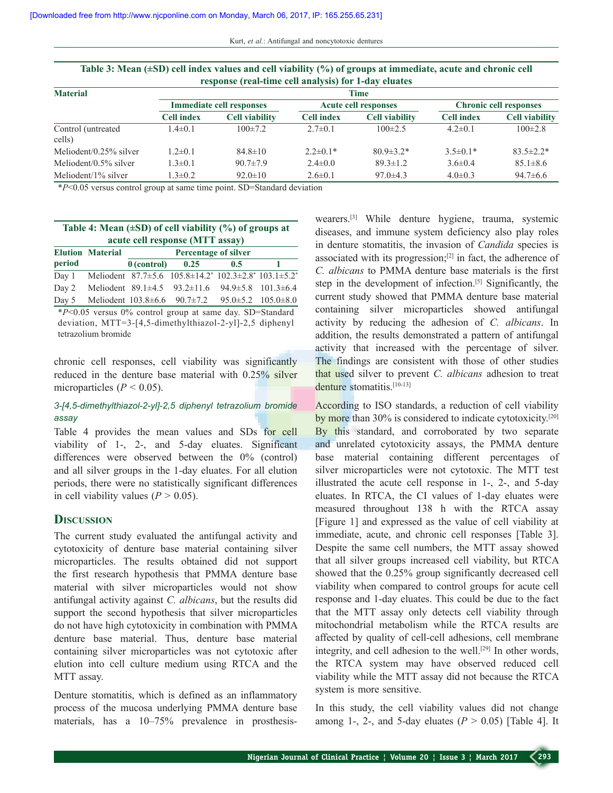| response (real-time cell analysis) for 1-day eluates |                                 |                       |                             |                       |                               |                       |
|------------------------------------------------------|---------------------------------|-----------------------|-----------------------------|-----------------------|-------------------------------|-----------------------|
| <b>Material</b>                                      | <b>Time</b>                     |                       |                             |                       |                               |                       |
|                                                      | <b>Immediate cell responses</b> |                       | <b>Acute cell responses</b> |                       | <b>Chronic cell responses</b> |                       |
|                                                      | <b>Cell index</b>               | <b>Cell viability</b> | <b>Cell index</b>           | <b>Cell viability</b> | <b>Cell index</b>             | <b>Cell viability</b> |
| Control (untreated)<br>cells)                        | $1.4\pm 0.1$                    | $100\pm7.2$           | $2.7\pm 0.1$                | $100\pm2.5$           | $4.2 \pm 0.1$                 | $100\pm2.8$           |
| Meliodent/0.25% silver                               | $1.2\pm 0.1$                    | $84.8 \pm 10$         | $2.2 \pm 0.1*$              | $80.9 \pm 3.2*$       | $3.5\pm0.1*$                  | $83.5 \pm 2.2*$       |
| Meliodent/0.5% silver                                | $1.3 \pm 0.1$                   | $90.7 \pm 7.9$        | $2.4 \pm 0.0$               | $89.3 \pm 1.2$        | $3.6 \pm 0.4$                 | $85.1 \pm 8.6$        |
| Meliodent/1% silver                                  | $1.3 \pm 0.2$                   | $92.0 \pm 10$         | $2.6 \pm 0.1$               | $97.0 \pm 4.3$        | $4.0 \pm 0.3$                 | $94.7\pm 6.6$         |

**Table 3: Mean (±SD) cell index values and cell viability (%) of groups at immediate, acute and chronic cell response (real-time cell analysis) for 1-day eluates**

\**P*<0.05 versus control group at same time point. SD=Standard deviation

| Table 4: Mean $(\pm SD)$ of cell viability $(\%)$ of groups at<br>acute cell response (MTT assay) |                         |                             |                                                      |                                |                                |
|---------------------------------------------------------------------------------------------------|-------------------------|-----------------------------|------------------------------------------------------|--------------------------------|--------------------------------|
|                                                                                                   | <b>Elution Material</b> | <b>Percentage of silver</b> |                                                      |                                |                                |
| period                                                                                            |                         | $0$ (control)               | 0.25                                                 | 0.5                            |                                |
| Day $1$                                                                                           |                         |                             | Meliodent 87.7±5.6 105.8±14.2* 102.3±2.8* 103.1±5.2* |                                |                                |
| Day 2                                                                                             |                         |                             | Meliodent $89.1 \pm 4.5$ $93.2 \pm 11.6$             | $94.9 \pm 5.8$ 101.3 $\pm 6.4$ |                                |
| Day 5                                                                                             |                         |                             | Meliodent $103.8 \pm 6.6$ 90.7 $\pm$ 7.2             |                                | $95.0 \pm 5.2$ $105.0 \pm 8.0$ |

\**P*<0.05 versus 0% control group at same day. SD=Standard deviation, MTT=3-[4,5-dimethylthiazol-2-yl]-2,5 diphenyl tetrazolium bromide

chronic cell responses, cell viability was significantly reduced in the denture base material with 0.25% silver microparticles ( $P < 0.05$ ).

## *3-[4,5-dimethylthiazol-2-yl]-2,5 diphenyl tetrazolium bromide assay*

Table 4 provides the mean values and SDs for cell viability of 1-, 2-, and 5-day eluates. Significant differences were observed between the 0% (control) and all silver groups in the 1-day eluates. For all elution periods, there were no statistically significant differences in cell viability values  $(P > 0.05)$ .

## **DISCUSSION**

The current study evaluated the antifungal activity and cytotoxicity of denture base material containing silver microparticles. The results obtained did not support the first research hypothesis that PMMA denture base material with silver microparticles would not show antifungal activity against *C. albicans*, but the results did support the second hypothesis that silver microparticles do not have high cytotoxicity in combination with PMMA denture base material. Thus, denture base material containing silver microparticles was not cytotoxic after elution into cell culture medium using RTCA and the MTT assay.

Denture stomatitis, which is defined as an inflammatory process of the mucosa underlying PMMA denture base materials, has a 10–75% prevalence in prosthesiswearers.[3] While denture hygiene, trauma, systemic diseases, and immune system deficiency also play roles in denture stomatitis, the invasion of *Candida* species is associated with its progression; $[2]$  in fact, the adherence of *C. albicans* to PMMA denture base materials is the first step in the development of infection.[5] Significantly, the current study showed that PMMA denture base material containing silver microparticles showed antifungal activity by reducing the adhesion of *C. albicans*. In addition, the results demonstrated a pattern of antifungal activity that increased with the percentage of silver. The findings are consistent with those of other studies that used silver to prevent *C. albicans* adhesion to treat denture stomatitis.<sup>[10-13]</sup>

According to ISO standards, a reduction of cell viability by more than 30% is considered to indicate cytotoxicity.<sup>[20]</sup> By this standard, and corroborated by two separate and unrelated cytotoxicity assays, the PMMA denture base material containing different percentages of silver microparticles were not cytotoxic. The MTT test illustrated the acute cell response in 1-, 2-, and 5-day eluates. In RTCA, the CI values of 1-day eluates were measured throughout 138 h with the RTCA assay [Figure 1] and expressed as the value of cell viability at immediate, acute, and chronic cell responses [Table 3]. Despite the same cell numbers, the MTT assay showed that all silver groups increased cell viability, but RTCA showed that the 0.25% group significantly decreased cell viability when compared to control groups for acute cell response and 1-day eluates. This could be due to the fact that the MTT assay only detects cell viability through mitochondrial metabolism while the RTCA results are affected by quality of cell-cell adhesions, cell membrane integrity, and cell adhesion to the well.<sup>[29]</sup> In other words, the RTCA system may have observed reduced cell viability while the MTT assay did not because the RTCA system is more sensitive.

In this study, the cell viability values did not change among 1-, 2-, and 5-day eluates  $(P > 0.05)$  [Table 4]. It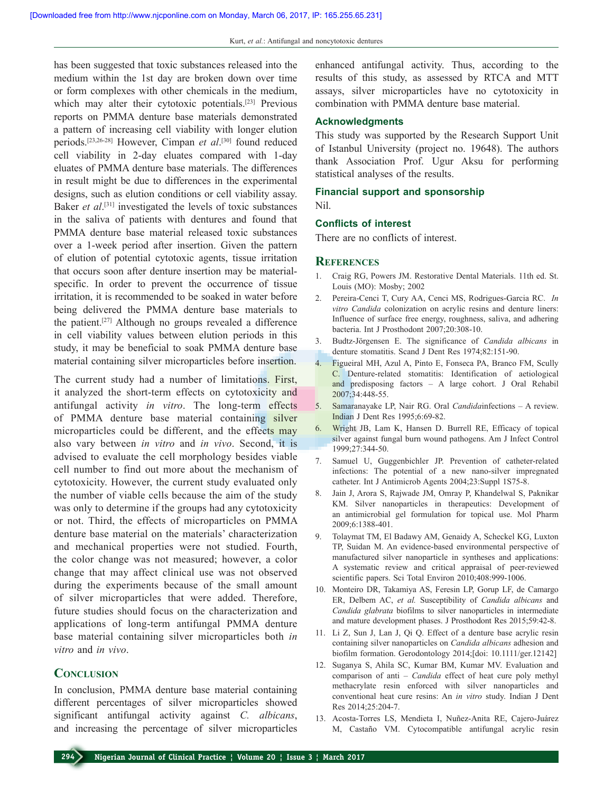has been suggested that toxic substances released into the medium within the 1st day are broken down over time or form complexes with other chemicals in the medium, which may alter their cytotoxic potentials.<sup>[23]</sup> Previous reports on PMMA denture base materials demonstrated a pattern of increasing cell viability with longer elution periods.[23,26-28] However, Cimpan *et al*. [30] found reduced cell viability in 2-day eluates compared with 1-day eluates of PMMA denture base materials. The differences in result might be due to differences in the experimental designs, such as elution conditions or cell viability assay. Baker *et al*.<sup>[31]</sup> investigated the levels of toxic substances in the saliva of patients with dentures and found that PMMA denture base material released toxic substances over a 1-week period after insertion. Given the pattern of elution of potential cytotoxic agents, tissue irritation that occurs soon after denture insertion may be materialspecific. In order to prevent the occurrence of tissue irritation, it is recommended to be soaked in water before being delivered the PMMA denture base materials to the patient.[27] Although no groups revealed a difference in cell viability values between elution periods in this study, it may be beneficial to soak PMMA denture base material containing silver microparticles before insertion.

The current study had a number of limitations. First, it analyzed the short-term effects on cytotoxicity and antifungal activity *in vitro*. The long-term effects of PMMA denture base material containing silver microparticles could be different, and the effects may also vary between *in vitro* and *in vivo*. Second, it is advised to evaluate the cell morphology besides viable cell number to find out more about the mechanism of cytotoxicity. However, the current study evaluated only the number of viable cells because the aim of the study was only to determine if the groups had any cytotoxicity or not. Third, the effects of microparticles on PMMA denture base material on the materials' characterization and mechanical properties were not studied. Fourth, the color change was not measured; however, a color change that may affect clinical use was not observed during the experiments because of the small amount of silver microparticles that were added. Therefore, future studies should focus on the characterization and applications of long-term antifungal PMMA denture base material containing silver microparticles both *in vitro* and *in vivo*.

## **Conclusion**

In conclusion, PMMA denture base material containing different percentages of silver microparticles showed significant antifungal activity against *C. albicans*, and increasing the percentage of silver microparticles enhanced antifungal activity. Thus, according to the results of this study, as assessed by RTCA and MTT assays, silver microparticles have no cytotoxicity in combination with PMMA denture base material.

#### **Acknowledgments**

This study was supported by the Research Support Unit of Istanbul University (project no. 19648). The authors thank Association Prof. Ugur Aksu for performing statistical analyses of the results.

# **Financial support and sponsorship**

Nil.

## **Conflicts of interest**

There are no conflicts of interest.

#### **References**

- 1. Craig RG, Powers JM. Restorative Dental Materials. 11th ed. St. Louis (MO): Mosby; 2002
- 2. Pereira-Cenci T, Cury AA, Cenci MS, Rodrigues-Garcia RC. *In vitro Candida* colonization on acrylic resins and denture liners: Influence of surface free energy, roughness, saliva, and adhering bacteria. Int J Prosthodont 2007;20:308-10.
- 3. Budtz-Jörgensen E. The significance of *Candida albicans* in denture stomatitis. Scand J Dent Res 1974;82:151-90.
- 4. Figueiral MH, Azul A, Pinto E, Fonseca PA, Branco FM, Scully C. Denture-related stomatitis: Identification of aetiological and predisposing factors – A large cohort. J Oral Rehabil 2007;34:448-55.
- 5. Samaranayake LP, Nair RG. Oral *Candida*infections A review. Indian J Dent Res 1995;6:69-82.
- 6. Wright JB, Lam K, Hansen D. Burrell RE, Efficacy of topical silver against fungal burn wound pathogens. Am J Infect Control 1999;27:344-50.
- 7. Samuel U, Guggenbichler JP. Prevention of catheter-related infections: The potential of a new nano-silver impregnated catheter. Int J Antimicrob Agents 2004;23:Suppl 1S75-8.
- 8. Jain J, Arora S, Rajwade JM, Omray P, Khandelwal S, Paknikar KM. Silver nanoparticles in therapeutics: Development of an antimicrobial gel formulation for topical use. Mol Pharm 2009;6:1388-401.
- 9. Tolaymat TM, El Badawy AM, Genaidy A, Scheckel KG, Luxton TP, Suidan M. An evidence-based environmental perspective of manufactured silver nanoparticle in syntheses and applications: A systematic review and critical appraisal of peer-reviewed scientific papers. Sci Total Environ 2010;408:999-1006.
- 10. Monteiro DR, Takamiya AS, Feresin LP, Gorup LF, de Camargo ER, Delbem AC, *et al.* Susceptibility of *Candida albicans* and *Candida glabrata* biofilms to silver nanoparticles in intermediate and mature development phases. J Prosthodont Res 2015;59:42-8.
- 11. Li Z, Sun J, Lan J, Qi Q. Effect of a denture base acrylic resin containing silver nanoparticles on *Candida albicans* adhesion and biofilm formation. Gerodontology 2014;[doi: 10.1111/ger.12142]
- 12. Suganya S, Ahila SC, Kumar BM, Kumar MV. Evaluation and comparison of anti – *Candida* effect of heat cure poly methyl methacrylate resin enforced with silver nanoparticles and conventional heat cure resins: An *in vitro* study. Indian J Dent Res 2014;25:204-7.
- 13. Acosta-Torres LS, Mendieta I, Nuñez-Anita RE, Cajero-Juárez M, Castaño VM. Cytocompatible antifungal acrylic resin